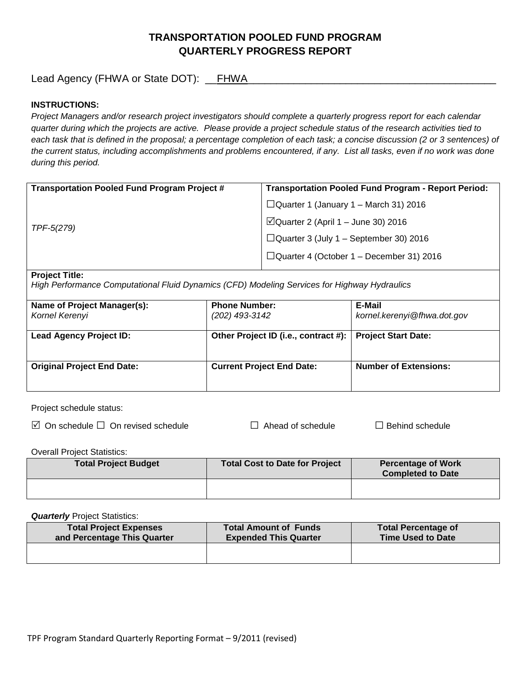## **TRANSPORTATION POOLED FUND PROGRAM QUARTERLY PROGRESS REPORT**

Lead Agency (FHWA or State DOT): \_\_FHWA\_\_\_\_\_\_\_\_\_\_\_\_\_\_\_\_\_\_\_\_\_\_\_\_\_\_\_\_\_\_\_\_\_\_\_\_\_\_\_\_\_\_\_

### **INSTRUCTIONS:**

*Project Managers and/or research project investigators should complete a quarterly progress report for each calendar quarter during which the projects are active. Please provide a project schedule status of the research activities tied to*  each task that is defined in the proposal; a percentage completion of each task; a concise discussion (2 or 3 sentences) of *the current status, including accomplishments and problems encountered, if any. List all tasks, even if no work was done during this period.*

| <b>Transportation Pooled Fund Program Project #</b> | <b>Transportation Pooled Fund Program - Report Period:</b> |
|-----------------------------------------------------|------------------------------------------------------------|
| TPF-5(279)                                          | $\Box$ Quarter 1 (January 1 – March 31) 2016               |
|                                                     | $\Box$ Quarter 2 (April 1 – June 30) 2016                  |
|                                                     | $\Box$ Quarter 3 (July 1 – September 30) 2016              |
|                                                     | $\Box$ Quarter 4 (October 1 – December 31) 2016            |
|                                                     |                                                            |

#### **Project Title:**

*High Performance Computational Fluid Dynamics (CFD) Modeling Services for Highway Hydraulics*

| Name of Project Manager(s):<br>Kornel Kerenyi | <b>Phone Number:</b><br>(202) 493-3142 | E-Mail<br>kornel.kerenyi@fhwa.dot.gov |
|-----------------------------------------------|----------------------------------------|---------------------------------------|
| <b>Lead Agency Project ID:</b>                | Other Project ID (i.e., contract #):   | <b>Project Start Date:</b>            |
| <b>Original Project End Date:</b>             | <b>Current Project End Date:</b>       | <b>Number of Extensions:</b>          |

Project schedule status:

On schedule □ On revised schedule □ Ahead of schedule □ Behind schedule

Overall Project Statistics:

| <b>Total Project Budget</b> | Total Cost to Date for Project | <b>Percentage of Work</b><br><b>Completed to Date</b> |
|-----------------------------|--------------------------------|-------------------------------------------------------|
|                             |                                |                                                       |

**Quarterly** Project Statistics:

| <b>Total Project Expenses</b><br>and Percentage This Quarter | <b>Total Amount of Funds</b><br><b>Expended This Quarter</b> | <b>Total Percentage of</b><br><b>Time Used to Date</b> |
|--------------------------------------------------------------|--------------------------------------------------------------|--------------------------------------------------------|
|                                                              |                                                              |                                                        |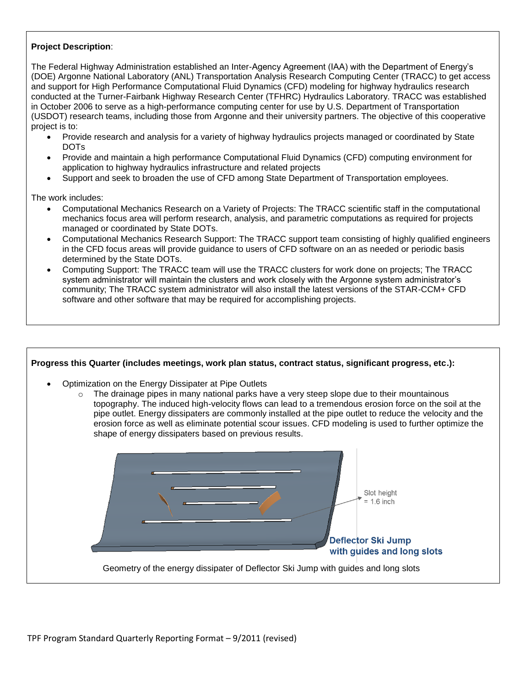### **Project Description**:

The Federal Highway Administration established an Inter-Agency Agreement (IAA) with the Department of Energy's (DOE) Argonne National Laboratory (ANL) Transportation Analysis Research Computing Center (TRACC) to get access and support for High Performance Computational Fluid Dynamics (CFD) modeling for highway hydraulics research conducted at the Turner-Fairbank Highway Research Center (TFHRC) Hydraulics Laboratory. TRACC was established in October 2006 to serve as a high-performance computing center for use by U.S. Department of Transportation (USDOT) research teams, including those from Argonne and their university partners. The objective of this cooperative project is to:

- Provide research and analysis for a variety of highway hydraulics projects managed or coordinated by State DOTs
- Provide and maintain a high performance Computational Fluid Dynamics (CFD) computing environment for application to highway hydraulics infrastructure and related projects
- Support and seek to broaden the use of CFD among State Department of Transportation employees.

The work includes:

- Computational Mechanics Research on a Variety of Projects: The TRACC scientific staff in the computational mechanics focus area will perform research, analysis, and parametric computations as required for projects managed or coordinated by State DOTs.
- Computational Mechanics Research Support: The TRACC support team consisting of highly qualified engineers in the CFD focus areas will provide guidance to users of CFD software on an as needed or periodic basis determined by the State DOTs.
- Computing Support: The TRACC team will use the TRACC clusters for work done on projects; The TRACC system administrator will maintain the clusters and work closely with the Argonne system administrator's community; The TRACC system administrator will also install the latest versions of the STAR-CCM+ CFD software and other software that may be required for accomplishing projects.

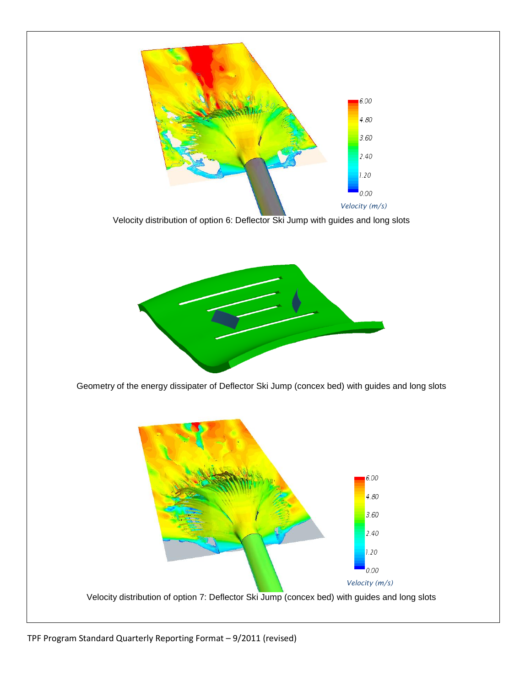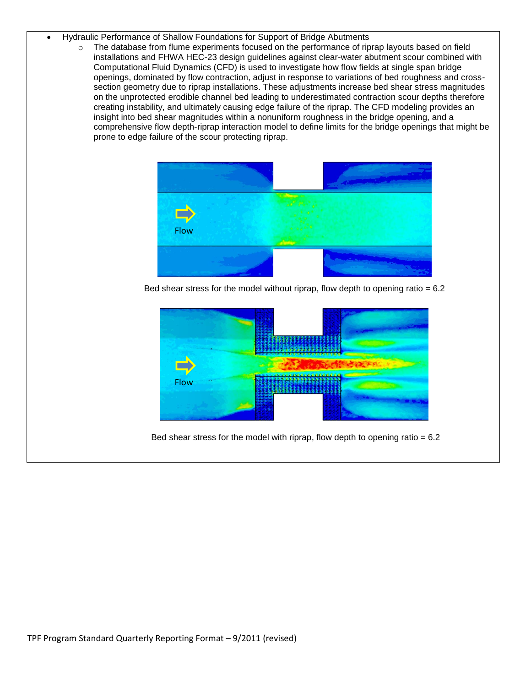- Hydraulic Performance of Shallow Foundations for Support of Bridge Abutments
	- $\circ$  The database from flume experiments focused on the performance of riprap layouts based on field installations and FHWA HEC-23 design guidelines against clear-water abutment scour combined with Computational Fluid Dynamics (CFD) is used to investigate how flow fields at single span bridge openings, dominated by flow contraction, adjust in response to variations of bed roughness and crosssection geometry due to riprap installations. These adjustments increase bed shear stress magnitudes on the unprotected erodible channel bed leading to underestimated contraction scour depths therefore creating instability, and ultimately causing edge failure of the riprap. The CFD modeling provides an insight into bed shear magnitudes within a nonuniform roughness in the bridge opening, and a comprehensive flow depth-riprap interaction model to define limits for the bridge openings that might be prone to edge failure of the scour protecting riprap.



Bed shear stress for the model without riprap, flow depth to opening ratio  $= 6.2$ 



Bed shear stress for the model with riprap, flow depth to opening ratio  $= 6.2$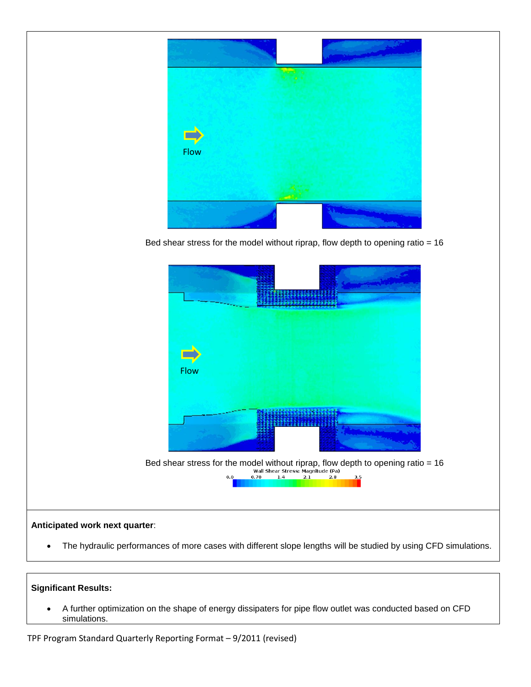

Bed shear stress for the model without riprap, flow depth to opening ratio = 16



# The hydraulic performances of more cases with different slope lengths will be studied by using CFD simulations.

### **Significant Results:**

 A further optimization on the shape of energy dissipaters for pipe flow outlet was conducted based on CFD simulations.

TPF Program Standard Quarterly Reporting Format – 9/2011 (revised)